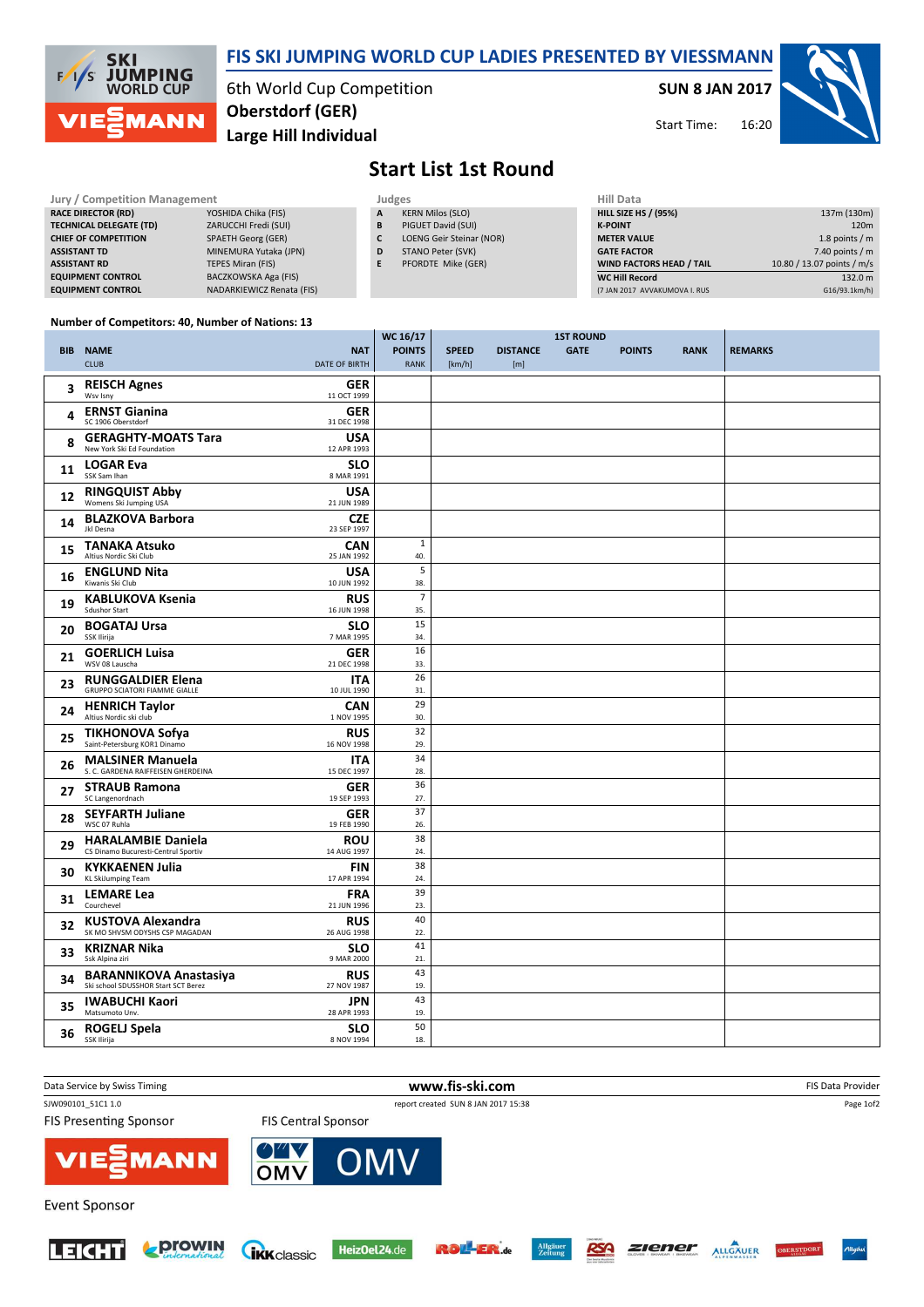

## FIS SKI JUMPING WORLD CUP LADIES PRESENTED BY VIESSMANN

6th World Cup Competition Large Hill Individual Oberstdorf (GER)

SUN 8 JAN 2017

16:20 Start Time:



## Start List 1st Round

| <b>Jury / Competition Management</b> |                           |  | Judges | <b>Hill Data</b>                |                    |
|--------------------------------------|---------------------------|--|--------|---------------------------------|--------------------|
| <b>RACE DIRECTOR (RD)</b>            | YOSHIDA Chika (FIS)       |  | A      | <b>KERN Milos (SLO)</b>         | <b>HILL SIZE H</b> |
| <b>TECHNICAL DELEGATE (TD)</b>       | ZARUCCHI Fredi (SUI)      |  | B      | PIGUET David (SUI)              | <b>K-POINT</b>     |
| <b>CHIEF OF COMPETITION</b>          | <b>SPAETH Georg (GER)</b> |  | C      | <b>LOENG Geir Steinar (NOR)</b> | <b>METER VAI</b>   |
| <b>ASSISTANT TD</b>                  | MINEMURA Yutaka (JPN)     |  | D      | STANO Peter (SVK)               | <b>GATE FACT</b>   |
| <b>ASSISTANT RD</b>                  | TEPES Miran (FIS)         |  | Е      | PFORDTE Mike (GER)              | <b>WIND FACT</b>   |
| <b>EQUIPMENT CONTROL</b>             | BACZKOWSKA Aga (FIS)      |  |        |                                 | <b>WC Hill Red</b> |
| <b>EQUIPMENT CONTROL</b>             | NADARKIEWICZ Renata (FIS) |  |        |                                 | (7 JAN 2017)       |

| Hill Data                       |                            |
|---------------------------------|----------------------------|
| <b>HILL SIZE HS / (95%)</b>     | 137m (130m)                |
| <b>K-POINT</b>                  | 120 <sub>m</sub>           |
| <b>METER VALUE</b>              | 1.8 points $/m$            |
| <b>GATE FACTOR</b>              | 7.40 points $/m$           |
| <b>WIND FACTORS HEAD / TAIL</b> | 10.80 / 13.07 points / m/s |
| <b>WC Hill Record</b>           | 132.0 m                    |
| (7 JAN 2017 AVVAKUMOVA I. RUS   | G16/93.1km/h)              |

## Number of Competitors: 40, Number of Nations: 13

|    |                                                                                                   | WC 16/17                     |                        |                        | <b>1ST ROUND</b> |               |             |                |
|----|---------------------------------------------------------------------------------------------------|------------------------------|------------------------|------------------------|------------------|---------------|-------------|----------------|
|    | <b>BIB NAME</b><br><b>NAT</b><br><b>CLUB</b><br><b>DATE OF BIRTH</b>                              | <b>POINTS</b><br><b>RANK</b> | <b>SPEED</b><br>[km/h] | <b>DISTANCE</b><br>[m] | <b>GATE</b>      | <b>POINTS</b> | <b>RANK</b> | <b>REMARKS</b> |
| 3  | <b>REISCH Agnes</b><br><b>GER</b><br>Wsv Isny<br>11 OCT 1999                                      |                              |                        |                        |                  |               |             |                |
| 4  | <b>ERNST Gianina</b><br><b>GER</b><br>SC 1906 Oberstdorf<br>31 DEC 1998                           |                              |                        |                        |                  |               |             |                |
| 8  | <b>GERAGHTY-MOATS Tara</b><br>USA<br>New York Ski Ed Foundation<br>12 APR 1993                    |                              |                        |                        |                  |               |             |                |
| 11 | <b>LOGAR Eva</b><br><b>SLO</b><br>SSK Sam Ihan<br>8 MAR 1991                                      |                              |                        |                        |                  |               |             |                |
| 12 | <b>RINGQUIST Abby</b><br>Womens Ski Jumping USA<br><b>USA</b><br>21 JUN 1989                      |                              |                        |                        |                  |               |             |                |
| 14 | <b>BLAZKOVA Barbora</b><br><b>CZE</b><br>Jkl Desna<br>23 SEP 1997                                 |                              |                        |                        |                  |               |             |                |
| 15 | <b>TANAKA Atsuko</b><br>CAN<br>Altius Nordic Ski Club<br>25 JAN 1992                              | 1<br>40.                     |                        |                        |                  |               |             |                |
| 16 | <b>USA</b><br><b>ENGLUND Nita</b><br>Kiwanis Ski Club<br>10 JUN 1992                              | 5<br>38.                     |                        |                        |                  |               |             |                |
| 19 | <b>KABLUKOVA Ksenia</b><br><b>RUS</b><br><b>Sdushor Start</b><br>16 JUN 1998                      | $\overline{7}$<br>35.        |                        |                        |                  |               |             |                |
| 20 | <b>BOGATAJ Ursa</b><br><b>SLO</b><br>SSK Ilirija<br>7 MAR 1995                                    | 15<br>34.                    |                        |                        |                  |               |             |                |
| 21 | <b>GOERLICH Luisa</b><br><b>GER</b><br>WSV 08 Lauscha<br>21 DEC 1998                              | 16<br>33.                    |                        |                        |                  |               |             |                |
| 23 | <b>RUNGGALDIER Elena</b><br><b>ITA</b><br><b>GRUPPO SCIATORI FIAMME GIALLE</b><br>10 JUL 1990     | 26<br>31.                    |                        |                        |                  |               |             |                |
| 24 | <b>HENRICH Taylor</b><br>Altius Nordic ski club<br><b>CAN</b><br>1 NOV 1995                       | 29<br>30.                    |                        |                        |                  |               |             |                |
| 25 | <b>TIKHONOVA Sofya</b><br><b>RUS</b><br>Saint-Petersburg KOR1 Dinamo<br>16 NOV 1998               | 32<br>29.                    |                        |                        |                  |               |             |                |
| 26 | <b>MALSINER Manuela</b><br><b>ITA</b><br>S. C. GARDENA RAIFFEISEN GHERDEINA<br>15 DEC 1997        | 34<br>28.                    |                        |                        |                  |               |             |                |
| 27 | <b>STRAUB Ramona</b><br><b>GER</b><br>SC Langenordnach<br>19 SEP 1993                             | 36<br>27.                    |                        |                        |                  |               |             |                |
| 28 | <b>SEYFARTH Juliane</b><br><b>GER</b><br>WSC 07 Ruhla<br>19 FEB 1990                              | 37<br>26.                    |                        |                        |                  |               |             |                |
| 29 | <b>HARALAMBIE Daniela</b><br><b>ROU</b><br>CS Dinamo Bucuresti-Centrul Sportiv<br>14 AUG 1997     | 38<br>24.                    |                        |                        |                  |               |             |                |
| 30 | <b>KYKKAENEN Julia</b><br><b>FIN</b><br>KL SkiJumping Team<br>17 APR 1994                         | 38<br>24.                    |                        |                        |                  |               |             |                |
| 31 | <b>FRA</b><br><b>LEMARE Lea</b><br>Courchevel<br>21 JUN 1996                                      | 39<br>23.                    |                        |                        |                  |               |             |                |
| 32 | <b>KUSTOVA Alexandra</b><br><b>RUS</b><br>SK MO SHVSM ODYSHS CSP MAGADAN<br>26 AUG 1998           | 40<br>22.                    |                        |                        |                  |               |             |                |
| 33 | <b>KRIZNAR Nika</b><br><b>SLO</b><br>Ssk Alpina ziri<br>9 MAR 2000                                | 41<br>21.                    |                        |                        |                  |               |             |                |
| 34 | <b>BARANNIKOVA Anastasiya</b><br><b>RUS</b><br>Ski school SDUSSHOR Start SCT Berez<br>27 NOV 1987 | 43<br>19.                    |                        |                        |                  |               |             |                |
| 35 | <b>IWABUCHI Kaori</b><br><b>JPN</b><br>Matsumoto Unv.<br>28 APR 1993                              | 43<br>19.                    |                        |                        |                  |               |             |                |
| 36 | ROGELJ Spela<br><b>SLO</b><br>SSK Ilirija<br>8 NOV 1994                                           | 50<br>18.                    |                        |                        |                  |               |             |                |











RSA

**ZIENER ALLGÄUER OBERSTDOR**